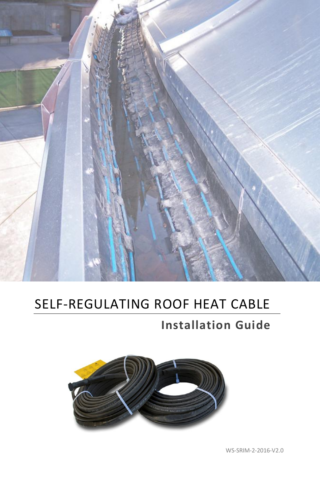

# SELF-REGULATING ROOF HEAT CABLE

# **Installation Guide**

<span id="page-0-0"></span>

WS-SRIM-2-2016-V2.0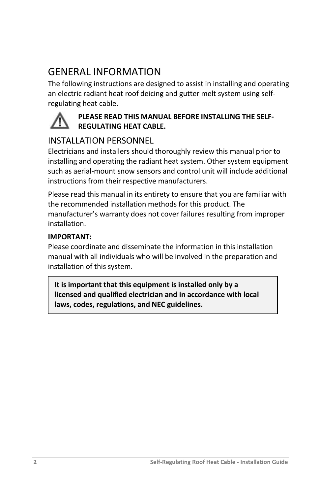## GENERAL INFORMATION

The following instructions are designed to assist in installing and operating an electric radiant heat roof deicing and gutter melt system using selfregulating heat cable.



#### **PLEASE READ THIS MANUAL BEFORE INSTALLING THE SELF-REGULATING HEAT CABLE.**

#### INSTALLATION PERSONNEL

Electricians and installers should thoroughly review this manual prior to installing and operating the radiant heat system. Other system equipment such as aerial-mount snow sensors and control unit will include additional instructions from their respective manufacturers.

Please read this manual in its entirety to ensure that you are familiar with the recommended installation methods for this product. The manufacturer's warranty does not cover failures resulting from improper installation.

#### **IMPORTANT:**

Please coordinate and disseminate the information in this installation manual with all individuals who will be involved in the preparation and installation of this system.

**It is important that this equipment is installed only by a licensed and qualified electrician and in accordance with local laws, codes, regulations, and NEC guidelines.**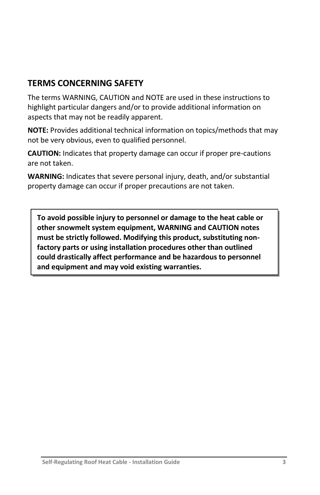#### **TERMS CONCERNING SAFETY**

The terms WARNING, CAUTION and NOTE are used in these instructions to highlight particular dangers and/or to provide additional information on aspects that may not be readily apparent.

**NOTE:** Provides additional technical information on topics/methods that may not be very obvious, even to qualified personnel.

**CAUTION:** Indicates that property damage can occur if proper pre-cautions are not taken.

**WARNING:** Indicates that severe personal injury, death, and/or substantial property damage can occur if proper precautions are not taken.

**To avoid possible injury to personnel or damage to the heat cable or other snowmelt system equipment, WARNING and CAUTION notes must be strictly followed. Modifying this product, substituting nonfactory parts or using installation procedures other than outlined could drastically affect performance and be hazardous to personnel and equipment and may void existing warranties.**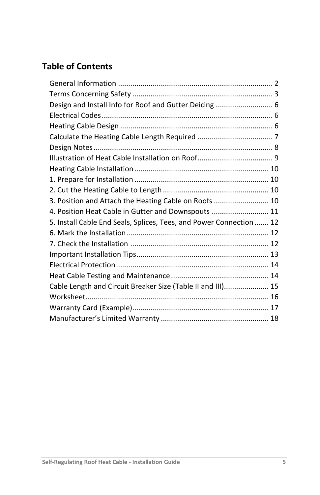## **Table of Contents**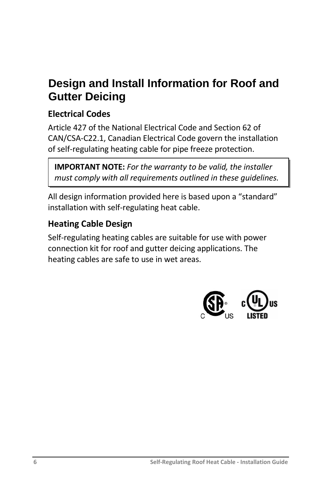# <span id="page-5-0"></span>**Design and Install Information for Roof and Gutter Deicing**

## <span id="page-5-1"></span>**Electrical Codes**

Article 427 of the National Electrical Code and Section 62 of CAN/CSA-C22.1, Canadian Electrical Code govern the installation of self-regulating heating cable for pipe freeze protection.

**IMPORTANT NOTE:** *For the warranty to be valid, the installer must comply with all requirements outlined in these guidelines.* 

All design information provided here is based upon a "standard" installation with self-regulating heat cable.

#### <span id="page-5-2"></span>**Heating Cable Design**

<span id="page-5-3"></span>Self-regulating heating cables are suitable for use with power connection kit for roof and gutter deicing applications. The heating cables are safe to use in wet areas.

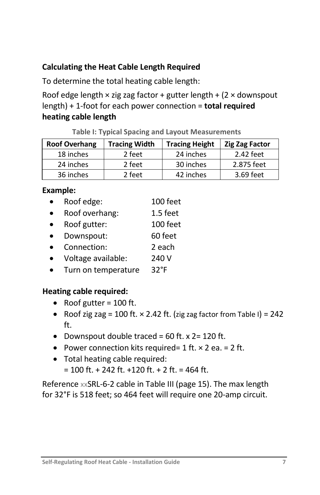#### **Calculating the Heat Cable Length Required**

To determine the total heating cable length:

Roof edge length  $\times$  zig zag factor + gutter length + (2  $\times$  downspout length) + 1-foot for each power connection = **total required heating cable length**

**Table I: Typical Spacing and Layout Measurements**

| <b>Roof Overhang</b> | <b>Tracing Width</b> | <b>Tracing Height</b> | <b>Zig Zag Factor</b> |
|----------------------|----------------------|-----------------------|-----------------------|
| 18 inches            | 2 feet               | 24 inches             | 2.42 feet             |
| 24 inches            | 2 feet               | 30 inches             | 2.875 feet            |
| 36 inches            | 2 feet               | 42 inches             | 3.69 feet             |

#### **Example:**

- Roof edge: 100 feet
- Roof overhang: 1.5 feet
- Roof gutter: 100 feet
- Downspout: 60 feet
- Connection: 2 each
- Voltage available: 240 V
- Turn on temperature 32°F

#### **Heating cable required:**

- Roof gutter =  $100$  ft.
- Roof zig zag = 100 ft.  $\times$  2.42 ft. (zig zag factor from Table I) = 242 ft.
- Downspout double traced =  $60$  ft. x 2= 120 ft.
- Power connection kits required=  $1$  ft.  $\times$  2 ea. =  $2$  ft.
- Total heating cable required:
	- $= 100$  ft. + 242 ft. +120 ft. + 2 ft. = 464 ft.

<span id="page-6-0"></span>Reference xxSRL-6-2 cable in Table III (page 15). The max length for 32°F is 518 feet; so 464 feet will require one 20-amp circuit.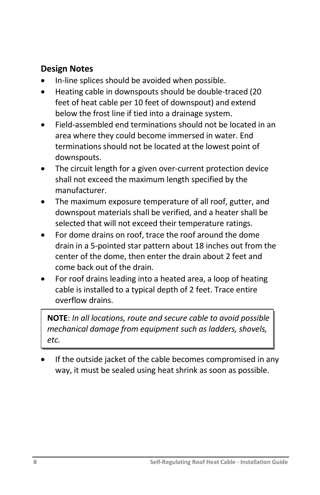#### **Design Notes**

- In-line splices should be avoided when possible.
- Heating cable in downspouts should be double-traced (20 feet of heat cable per 10 feet of downspout) and extend below the frost line if tied into a drainage system.
- Field-assembled end terminations should not be located in an area where they could become immersed in water. End terminations should not be located at the lowest point of downspouts.
- The circuit length for a given over-current protection device shall not exceed the maximum length specified by the manufacturer.
- The maximum exposure temperature of all roof, gutter, and downspout materials shall be verified, and a heater shall be selected that will not exceed their temperature ratings.
- For dome drains on roof, trace the roof around the dome drain in a 5-pointed star pattern about 18 inches out from the center of the dome, then enter the drain about 2 feet and come back out of the drain.
- For roof drains leading into a heated area, a loop of heating cable is installed to a typical depth of 2 feet. Trace entire overflow drains.

**NOTE**: *In all locations, route and secure cable to avoid possible mechanical damage from equipment such as ladders, shovels, etc.*

 If the outside jacket of the cable becomes compromised in any way, it must be sealed using heat shrink as soon as possible.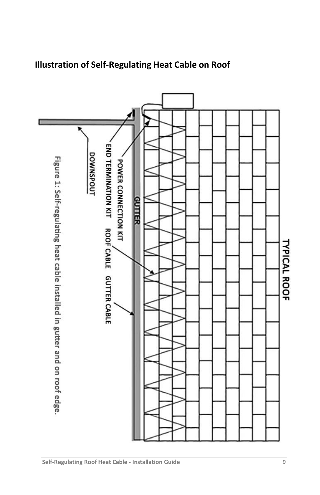<span id="page-8-0"></span>

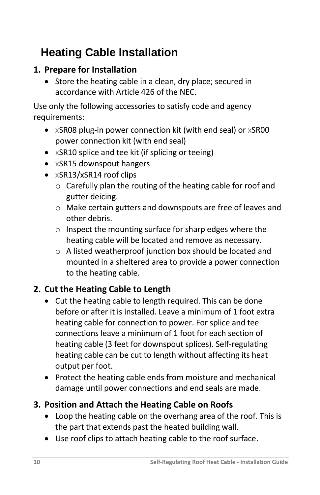# **Heating Cable Installation**

## <span id="page-9-0"></span>**1. Prepare for Installation**

• Store the heating cable in a clean, dry place; secured in accordance with Article 426 of the NEC.

Use only the following accessories to satisfy code and agency requirements:

- xSR08 plug-in power connection kit (with end seal) or xSR00 power connection kit (with end seal)
- xSR10 splice and tee kit (if splicing or teeing)
- xSR15 downspout hangers
- xSR13/xSR14 roof clips
	- o Carefully plan the routing of the heating cable for roof and gutter deicing.
	- o Make certain gutters and downspouts are free of leaves and other debris.
	- o Inspect the mounting surface for sharp edges where the heating cable will be located and remove as necessary.
	- o A listed weatherproof junction box should be located and mounted in a sheltered area to provide a power connection to the heating cable.

## <span id="page-9-1"></span>**2. Cut the Heating Cable to Length**

- Cut the heating cable to length required. This can be done before or after it is installed. Leave a minimum of 1 foot extra heating cable for connection to power. For splice and tee connections leave a minimum of 1 foot for each section of heating cable (3 feet for downspout splices). Self-regulating heating cable can be cut to length without affecting its heat output per foot.
- Protect the heating cable ends from moisture and mechanical damage until power connections and end seals are made.

## <span id="page-9-2"></span>**3. Position and Attach the Heating Cable on Roofs**

- Loop the heating cable on the overhang area of the roof. This is the part that extends past the heated building wall.
- Use roof clips to attach heating cable to the roof surface.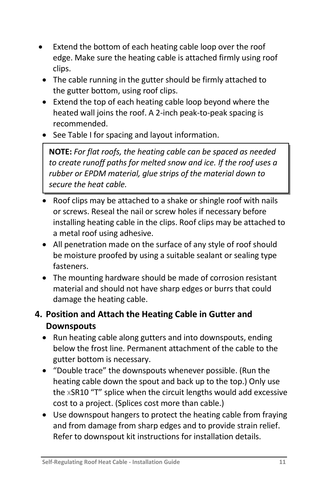- Extend the bottom of each heating cable loop over the roof edge. Make sure the heating cable is attached firmly using roof clips.
- The cable running in the gutter should be firmly attached to the gutter bottom, using roof clips.
- Extend the top of each heating cable loop beyond where the heated wall joins the roof. A 2-inch peak-to-peak spacing is recommended.
- See Table I for spacing and layout information.

**NOTE:** *For flat roofs, the heating cable can be spaced as needed to create runoff paths for melted snow and ice. If the roof uses a rubber or EPDM material, glue strips of the material down to secure the heat cable.* 

- Roof clips may be attached to a shake or shingle roof with nails or screws. Reseal the nail or screw holes if necessary before installing heating cable in the clips. Roof clips may be attached to a metal roof using adhesive.
- All penetration made on the surface of any style of roof should be moisture proofed by using a suitable sealant or sealing type fasteners.
- The mounting hardware should be made of corrosion resistant material and should not have sharp edges or burrs that could damage the heating cable.

### <span id="page-10-0"></span>**4. Position and Attach the Heating Cable in Gutter and Downspouts**

- Run heating cable along gutters and into downspouts, ending below the frost line. Permanent attachment of the cable to the gutter bottom is necessary.
- "Double trace" the downspouts whenever possible. (Run the heating cable down the spout and back up to the top.) Only use the xSR10 "T" splice when the circuit lengths would add excessive cost to a project. (Splices cost more than cable.)
- Use downspout hangers to protect the heating cable from fraying and from damage from sharp edges and to provide strain relief. Refer to downspout kit instructions for installation details.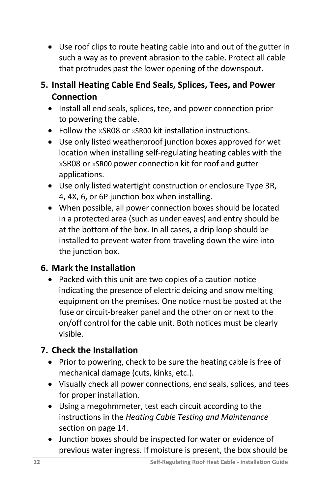- Use roof clips to route heating cable into and out of the gutter in such a way as to prevent abrasion to the cable. Protect all cable that protrudes past the lower opening of the downspout.
- <span id="page-11-0"></span>**5. Install Heating Cable End Seals, Splices, Tees, and Power Connection**
	- Install all end seals, splices, tee, and power connection prior to powering the cable.
	- Follow the xSR08 or xSR00 kit installation instructions.
	- Use only listed weatherproof junction boxes approved for wet location when installing self-regulating heating cables with the xSR08 or xSR00 power connection kit for roof and gutter applications.
	- Use only listed watertight construction or enclosure Type 3R, 4, 4X, 6, or 6P junction box when installing.
	- When possible, all power connection boxes should be located in a protected area (such as under eaves) and entry should be at the bottom of the box. In all cases, a drip loop should be installed to prevent water from traveling down the wire into the junction box.

### <span id="page-11-1"></span>**6. Mark the Installation**

 Packed with this unit are two copies of a caution notice indicating the presence of electric deicing and snow melting equipment on the premises. One notice must be posted at the fuse or circuit-breaker panel and the other on or next to the on/off control for the cable unit. Both notices must be clearly visible.

## <span id="page-11-2"></span>**7. Check the Installation**

- Prior to powering, check to be sure the heating cable is free of mechanical damage (cuts, kinks, etc.).
- Visually check all power connections, end seals, splices, and tees for proper installation.
- Using a megohmmeter, test each circuit according to the instructions in the *Heating Cable Testing and Maintenance* section on page 14.
- Junction boxes should be inspected for water or evidence of previous water ingress. If moisture is present, the box should be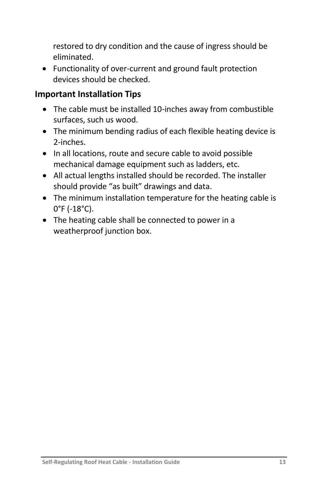restored to dry condition and the cause of ingress should be eliminated.

 Functionality of over-current and ground fault protection devices should be checked.

#### **Important Installation Tips**

- The cable must be installed 10-inches away from combustible surfaces, such us wood.
- The minimum bending radius of each flexible heating device is 2-inches.
- In all locations, route and secure cable to avoid possible mechanical damage equipment such as ladders, etc.
- All actual lengths installed should be recorded. The installer should provide "as built" drawings and data.
- The minimum installation temperature for the heating cable is 0°F (-18°C).
- The heating cable shall be connected to power in a weatherproof junction box.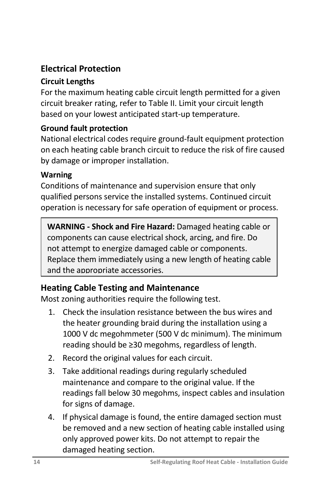## <span id="page-13-0"></span>**Electrical Protection**

#### **Circuit Lengths**

For the maximum heating cable circuit length permitted for a given circuit breaker rating, refer to Table II. Limit your circuit length based on your lowest anticipated start-up temperature.

#### **Ground fault protection**

National electrical codes require ground-fault equipment protection on each heating cable branch circuit to reduce the risk of fire caused by damage or improper installation.

#### **Warning**

Conditions of maintenance and supervision ensure that only qualified persons service the installed systems. Continued circuit operation is necessary for safe operation of equipment or process.

**WARNING - Shock and Fire Hazard:** Damaged heating cable or components can cause electrical shock, arcing, and fire. Do not attempt to energize damaged cable or components. Replace them immediately using a new length of heating cable and the appropriate accessories.

### <span id="page-13-1"></span>**Heating Cable Testing and Maintenance**

Most zoning authorities require the following test.

- 1. Check the insulation resistance between the bus wires and the heater grounding braid during the installation using a 1000 V dc megohmmeter (500 V dc minimum). The minimum reading should be ≥30 megohms, regardless of length.
- 2. Record the original values for each circuit.
- 3. Take additional readings during regularly scheduled maintenance and compare to the original value. If the readings fall below 30 megohms, inspect cables and insulation for signs of damage.
- 4. If physical damage is found, the entire damaged section must be removed and a new section of heating cable installed using only approved power kits. Do not attempt to repair the damaged heating section.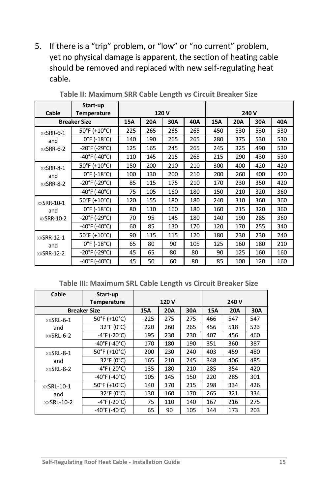5. If there is a "trip" problem, or "low" or "no current" problem, yet no physical damage is apparent, the section of heating cable should be removed and replaced with new self-regulating heat cable.

|                                          | Start-up                           |     |            |     |     |     |            |     |     |
|------------------------------------------|------------------------------------|-----|------------|-----|-----|-----|------------|-----|-----|
| Cable                                    | <b>Temperature</b>                 |     | 120V       |     |     |     | 240 V      |     |     |
| <b>Breaker Size</b>                      |                                    | 15A | <b>20A</b> | 30A | 40A | 15A | <b>20A</b> | 30A | 40A |
| $x \times$ SRR-6-1<br>and<br>$XXSRR-6-2$ | 50°F (+10°C)                       | 225 | 265        | 265 | 265 | 450 | 530        | 530 | 530 |
|                                          | $0^{\circ}$ F (-18 $^{\circ}$ C)   | 140 | 190        | 265 | 265 | 280 | 375        | 530 | 530 |
|                                          | -20°F (-29°C)                      | 125 | 165        | 245 | 265 | 245 | 325        | 490 | 530 |
|                                          | $-40^{\circ}$ F ( $-40^{\circ}$ C) | 110 | 145        | 215 | 265 | 215 | 290        | 430 | 530 |
| $XX$ SRR-8-1                             | 50°F (+10°C)                       | 150 | 200        | 210 | 210 | 300 | 400        | 420 | 420 |
| and                                      | $0^{\circ}$ F (-18 $^{\circ}$ C)   | 100 | 130        | 200 | 210 | 200 | 260        | 400 | 420 |
| $XX$ SRR-8-2                             | $-20^{\circ}$ F (-29 $^{\circ}$ C) | 85  | 115        | 175 | 210 | 170 | 230        | 350 | 420 |
|                                          | $-40^{\circ}$ F (-40 $^{\circ}$ C) | 75  | 105        | 160 | 180 | 150 | 210        | 320 | 360 |
| $x \times$ SRR-10-1                      | 50°F (+10°C)                       | 120 | 155        | 180 | 180 | 240 | 310        | 360 | 360 |
| and                                      | $0^{\circ}$ F (-18 $^{\circ}$ C)   | 80  | 110        | 160 | 180 | 160 | 215        | 320 | 360 |
| $XX$ SRR-10-2                            | -20°F (-29°C)                      | 70  | 95         | 145 | 180 | 140 | 190        | 285 | 360 |
|                                          | $-40^{\circ}$ F ( $-40^{\circ}$ C) | 60  | 85         | 130 | 170 | 120 | 170        | 255 | 340 |
| $XX$ SRR-12-1<br>and                     | 50°F (+10°C)                       | 90  | 115        | 115 | 120 | 180 | 230        | 230 | 240 |
|                                          | $0^{\circ}$ F (-18 $^{\circ}$ C)   | 65  | 80         | 90  | 105 | 125 | 160        | 180 | 210 |
| $XXSRR-12-2$                             | -20°F (-29°C)                      | 45  | 65         | 80  | 80  | 90  | 125        | 160 | 160 |
|                                          | $-40^{\circ}$ F (-40 $^{\circ}$ C) | 45  | 50         | 60  | 80  | 85  | 100        | 120 | 160 |

**Table II: Maximum SRR Cable Length vs Circuit Breaker Size**

#### **Table III: Maximum SRL Cable Length vs Circuit Breaker Size**

| Cable               | Start-up                           |            |            |     |       |            |     |  |
|---------------------|------------------------------------|------------|------------|-----|-------|------------|-----|--|
|                     | <b>Temperature</b>                 | 120V       |            |     | 240 V |            |     |  |
|                     | <b>Breaker Size</b>                | <b>15A</b> | <b>20A</b> | 30A | 15A   | <b>20A</b> | 30A |  |
| $x \times$ SRL-6-1  | 50°F (+10°C)                       | 225        | 275        | 275 | 466   | 547        | 547 |  |
| and                 | 32°F (0°C)                         | 220        | 260        | 265 | 456   | 518        | 523 |  |
| $XXSRL-6-2$         | $-4^{\circ}$ F ( $-20^{\circ}$ C)  | 195        | 230        | 230 | 407   | 456        | 460 |  |
|                     | $-40^{\circ}$ F ( $-40^{\circ}$ C) | 170        | 180        | 190 | 351   | 360        | 387 |  |
| $x \times$ SRL-8-1  | 50°F (+10°C)                       | 200        | 230        | 240 | 403   | 459        | 480 |  |
| and                 | 32°F (0°C)                         | 165        | 210        | 245 | 348   | 406        | 485 |  |
| $x \times$ SRL-8-2  | $-4^{\circ}$ F (-20 $^{\circ}$ C)  | 135        | 180        | 210 | 285   | 354        | 420 |  |
|                     | $-40^{\circ}$ F ( $-40^{\circ}$ C) | 105        | 145        | 150 | 220   | 285        | 301 |  |
| $x \times$ SRL-10-1 | 50°F (+10°C)                       | 140        | 170        | 215 | 298   | 334        | 426 |  |
| and                 | 32°F (0°C)                         | 130        | 160        | 170 | 265   | 321        | 334 |  |
| $x \times$ SRL-10-2 | $-4^{\circ}$ F (-20 $^{\circ}$ C)  | 75         | 110        | 140 | 167   | 216        | 275 |  |
|                     | $-40^{\circ}$ F ( $-40^{\circ}$ C) | 65         | 90         | 105 | 144   | 173        | 203 |  |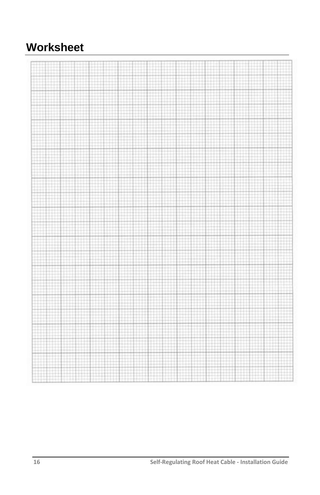# <span id="page-15-0"></span>**Worksheet**

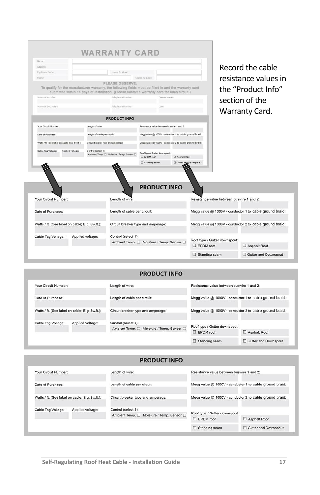| <b>Married</b>                                                                                         |                                    |                                                                                                                |                                           |                               |                                                         |                  |                               |                                                                                                                    |
|--------------------------------------------------------------------------------------------------------|------------------------------------|----------------------------------------------------------------------------------------------------------------|-------------------------------------------|-------------------------------|---------------------------------------------------------|------------------|-------------------------------|--------------------------------------------------------------------------------------------------------------------|
| Address:                                                                                               |                                    |                                                                                                                |                                           |                               |                                                         |                  |                               | Record the cable                                                                                                   |
| Zip/Postal Code                                                                                        |                                    | State / Province.                                                                                              |                                           |                               |                                                         |                  |                               |                                                                                                                    |
| Phone                                                                                                  |                                    |                                                                                                                | Order number:                             |                               |                                                         |                  |                               | resistance values in                                                                                               |
| To qualify for the manufacturer warranty, the following fields must be filled in and the warranty card |                                    | PLEASE OBSERVE:<br>submitted within 14 days of installation. (Please submit a warranty card for each circuit.) |                                           |                               |                                                         |                  |                               | the "Product Info"                                                                                                 |
| Name of Installer:                                                                                     |                                    | Telephone Number:                                                                                              |                                           | Date: of Install:             |                                                         |                  |                               | section of the                                                                                                     |
| Name of Electrician                                                                                    |                                    | Telephone Number:                                                                                              |                                           | Date:                         |                                                         |                  |                               | Warranty Card.                                                                                                     |
|                                                                                                        |                                    | <b>PRODUCT INFO</b>                                                                                            |                                           |                               |                                                         |                  |                               |                                                                                                                    |
| Your Circuit Number.                                                                                   | Length of wire:                    |                                                                                                                | Resistance value between buswire 1 and 2: |                               |                                                         |                  |                               |                                                                                                                    |
| Date of Purchase:                                                                                      | Length of cable per circuit:       |                                                                                                                |                                           |                               | Megg value @ 1000V - conductor 1 to cable ground braid: |                  |                               |                                                                                                                    |
| Watts / ft. (See label on cable; E.g. 8w.ft.):                                                         | Circuit breaker type and amperage: |                                                                                                                |                                           |                               | Megg value @ 1000V - conductor 2 to cable ground braid: |                  |                               |                                                                                                                    |
| Cable Tag Voltage:<br>Applied voltage:<br>Control (select 1):                                          |                                    |                                                                                                                |                                           | Roof type / Gutter downspout. |                                                         |                  |                               |                                                                                                                    |
|                                                                                                        |                                    | Ambient Temp. [ Moisture / Temp. Sensor [                                                                      | <b>EPOM</b> roof                          |                               | Asphalt Roof                                            |                  |                               |                                                                                                                    |
|                                                                                                        |                                    |                                                                                                                | Standing seam                             |                               | Gutter and Downspout                                    |                  |                               |                                                                                                                    |
|                                                                                                        |                                    | Length of wire:                                                                                                | <b>PRODUCT INFO</b>                       |                               |                                                         |                  |                               | Resistance value between buswire 1 and 2:                                                                          |
|                                                                                                        |                                    | Length of cable per circuit:                                                                                   |                                           |                               |                                                         |                  |                               |                                                                                                                    |
|                                                                                                        |                                    | Circuit breaker type and amperage:                                                                             |                                           |                               |                                                         |                  |                               | Megg value @ 1000V - conductor 1 to cable ground braid:<br>Megg value @ 1000V - conductor 2 to cable ground braid: |
|                                                                                                        |                                    | Control (select 1):                                                                                            |                                           |                               |                                                         |                  |                               |                                                                                                                    |
| Your Circuit Number:<br>Date of Purchase:<br>Watts / ft. (See label on cable; E.g. 8w.ft.):            |                                    |                                                                                                                |                                           |                               |                                                         |                  |                               |                                                                                                                    |
| Cable Tag Voltage:                                                                                     | Applied voltage:                   | Ambient Temp.<br>Moisture / Temp. Sensor                                                                       |                                           |                               |                                                         | $\Box$ EPDM roof | Roof type / Gutter downspout: | Asphalt Roof                                                                                                       |

#### **PRODUCT INFO**

| Your Circuit Number:                   |                                                | Length of wire:                           | Resistance value between buswire 1 and 2:               |                      |  |
|----------------------------------------|------------------------------------------------|-------------------------------------------|---------------------------------------------------------|----------------------|--|
| Date of Purchase:                      |                                                | Length of cable per circuit:              | Megg value @ 1000V - conductor 1 to cable ground braid: |                      |  |
|                                        | Watts / ft. (See label on cable; E.g. 8w.ft.): | Circuit breaker type and amperage:        | Megg value @ 1000V - conductor 2 to cable ground braid: |                      |  |
| Applied voltage:<br>Cable Tag Voltage: |                                                | Control (select 1):                       | Roof type / Gutter downspout:                           |                      |  |
|                                        |                                                | Ambient Temp. □ Moisture / Temp. Sensor □ | $\square$ EPDM roof                                     | □ Asphalt Roof       |  |
|                                        |                                                |                                           | Standing seam                                           | Gutter and Downspout |  |

#### **PRODUCT INFO**

| Your Circuit Number:                           |  | Length of wire:                                       | Resistance value between buswire 1 and 2:               |                                                         |  |  |
|------------------------------------------------|--|-------------------------------------------------------|---------------------------------------------------------|---------------------------------------------------------|--|--|
| Date of Purchase:                              |  | Length of cable per circuit:                          | Megg value @ 1000V - conductor 1 to cable ground braid: |                                                         |  |  |
| Watts / ft. (See label on cable; E.g. 8w.ft.): |  | Circuit breaker type and amperage:                    |                                                         | Megg value @ 1000V - conductor 2 to cable ground braid: |  |  |
| Applied voltage:<br>Cable Tag Voltage:         |  | Control (select 1):                                   | Roof type / Gutter downspout:                           |                                                         |  |  |
|                                                |  | Ambient Temp. <sub>[20]</sub> Moisture / Temp. Sensor | $\square$ EPDM roof                                     | □ Asphalt Roof                                          |  |  |
|                                                |  |                                                       | $\Box$ Standing seam                                    | Gutter and Downspout                                    |  |  |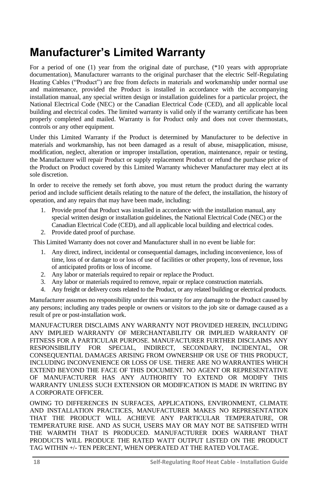## <span id="page-17-0"></span>**Manufacturer's Limited Warranty**

For a period of one (1) year from the original date of purchase, (\*10 years with appropriate documentation), Manufacturer warrants to the original purchaser that the electric Self-Regulating Heating Cables ("Product") are free from defects in materials and workmanship under normal use and maintenance, provided the Product is installed in accordance with the accompanying installation manual, any special written design or installation guidelines for a particular project, the National Electrical Code (NEC) or the Canadian Electrical Code (CED), and all applicable local building and electrical codes. The limited warranty is valid only if the warranty certificate has been properly completed and mailed. Warranty is for Product only and does not cover thermostats, controls or any other equipment.

Under this Limited Warranty if the Product is determined by Manufacturer to be defective in materials and workmanship, has not been damaged as a result of abuse, misapplication, misuse, modification, neglect, alteration or improper installation, operation, maintenance, repair or testing, the Manufacturer will repair Product or supply replacement Product or refund the purchase price of the Product on Product covered by this Limited Warranty whichever Manufacturer may elect at its sole discretion.

In order to receive the remedy set forth above, you must return the product during the warranty period and include sufficient details relating to the nature of the defect, the installation, the history of operation, and any repairs that may have been made, including:

- 1. Provide proof that Product was installed in accordance with the installation manual, any special written design or installation guidelines, the National Electrical Code (NEC) or the Canadian Electrical Code (CED), and all applicable local building and electrical codes.
- 2. Provide dated proof of purchase.

This Limited Warranty does not cover and Manufacturer shall in no event be liable for:

- 1. Any direct, indirect, incidental or consequential damages, including inconvenience, loss of time, loss of or damage to or loss of use of facilities or other property, loss of revenue, loss of anticipated profits or loss of income.
- 2. Any labor or materials required to repair or replace the Product.
- 3. Any labor or materials required to remove, repair or replace construction materials.
- 4. Any freight or delivery costs related to the Product, or any related building or electrical products.

Manufacturer assumes no responsibility under this warranty for any damage to the Product caused by any persons; including any trades people or owners or visitors to the job site or damage caused as a result of pre or post-installation work.

MANUFACTURER DISCLAIMS ANY WARRANTY NOT PROVIDED HEREIN, INCLUDING ANY IMPLIED WARRANTY OF MERCHANTABILITY OR IMPLIED WARRANTY OF FITNESS FOR A PARTICULAR PURPOSE. MANUFACTURER FURTHER DISCLAIMS ANY RESPONSIBILITY FOR SPECIAL, INDIRECT, SECONDARY, INCIDENTAL, OR CONSEQUENTIAL DAMAGES ARISING FROM OWNERSHIP OR USE OF THIS PRODUCT, INCLUDING INCONVENIENCE OR LOSS OF USE. THERE ARE NO WARRANTIES WHICH EXTEND BEYOND THE FACE OF THIS DOCUMENT. NO AGENT OR REPRESENTATIVE OF MANUFACTURER HAS ANY AUTHORITY TO EXTEND OR MODIFY THIS WARRANTY UNLESS SUCH EXTENSION OR MODIFICATION IS MADE IN WRITING BY A CORPORATE OFFICER.

OWING TO DIFFERENCES IN SURFACES, APPLICATIONS, ENVIRONMENT, CLIMATE AND INSTALLATION PRACTICES, MANUFACTURER MAKES NO REPRESENTATION THAT THE PRODUCT WILL ACHIEVE ANY PARTICULAR TEMPERATURE, OR TEMPERATURE RISE. AND AS SUCH, USERS MAY OR MAY NOT BE SATISFIED WITH THE WARMTH THAT IS PRODUCED. MANUFACTURER DOES WARRANT THAT PRODUCTS WILL PRODUCE THE RATED WATT OUTPUT LISTED ON THE PRODUCT TAG WITHIN +/- TEN PERCENT, WHEN OPERATED AT THE RATED VOLTAGE.